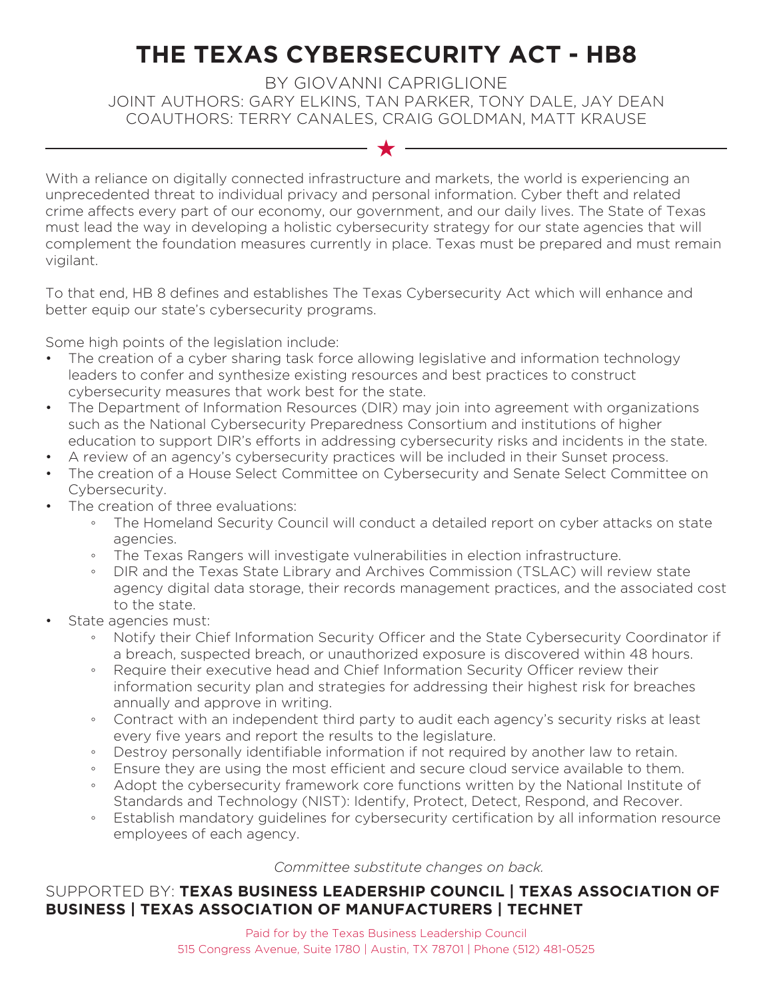## **THE TEXAS CYBERSECURITY ACT - HB8**

BY GIOVANNI CAPRIGLIONE JOINT AUTHORS: GARY ELKINS, TAN PARKER, TONY DALE, JAY DEAN COAUTHORS: TERRY CANALES, CRAIG GOLDMAN, MATT KRAUSE

 $\star$ 

With a reliance on digitally connected infrastructure and markets, the world is experiencing an unprecedented threat to individual privacy and personal information. Cyber theft and related crime affects every part of our economy, our government, and our daily lives. The State of Texas must lead the way in developing a holistic cybersecurity strategy for our state agencies that will complement the foundation measures currently in place. Texas must be prepared and must remain vigilant.

To that end, HB 8 defines and establishes The Texas Cybersecurity Act which will enhance and better equip our state's cybersecurity programs.

Some high points of the legislation include:

- The creation of a cyber sharing task force allowing legislative and information technology leaders to confer and synthesize existing resources and best practices to construct cybersecurity measures that work best for the state.
- The Department of Information Resources (DIR) may join into agreement with organizations such as the National Cybersecurity Preparedness Consortium and institutions of higher education to support DIR's efforts in addressing cybersecurity risks and incidents in the state.
- A review of an agency's cybersecurity practices will be included in their Sunset process.
- The creation of a House Select Committee on Cybersecurity and Senate Select Committee on Cybersecurity.
- The creation of three evaluations:
	- The Homeland Security Council will conduct a detailed report on cyber attacks on state agencies.
	- The Texas Rangers will investigate vulnerabilities in election infrastructure.
	- DIR and the Texas State Library and Archives Commission (TSLAC) will review state agency digital data storage, their records management practices, and the associated cost to the state.
- State agencies must:
	- Notify their Chief Information Security Officer and the State Cybersecurity Coordinator if a breach, suspected breach, or unauthorized exposure is discovered within 48 hours.
	- Require their executive head and Chief Information Security Officer review their information security plan and strategies for addressing their highest risk for breaches annually and approve in writing.
	- Contract with an independent third party to audit each agency's security risks at least every five years and report the results to the legislature.
	- Destroy personally identifiable information if not required by another law to retain.
	- Ensure they are using the most efficient and secure cloud service available to them.
	- Adopt the cybersecurity framework core functions written by the National Institute of Standards and Technology (NIST): Identify, Protect, Detect, Respond, and Recover.
	- Establish mandatory guidelines for cybersecurity certification by all information resource employees of each agency.

*Committee substitute changes on back.*

## SUPPORTED BY: **TEXAS BUSINESS LEADERSHIP COUNCIL | TEXAS ASSOCIATION OF BUSINESS | TEXAS ASSOCIATION OF MANUFACTURERS | TECHNET**